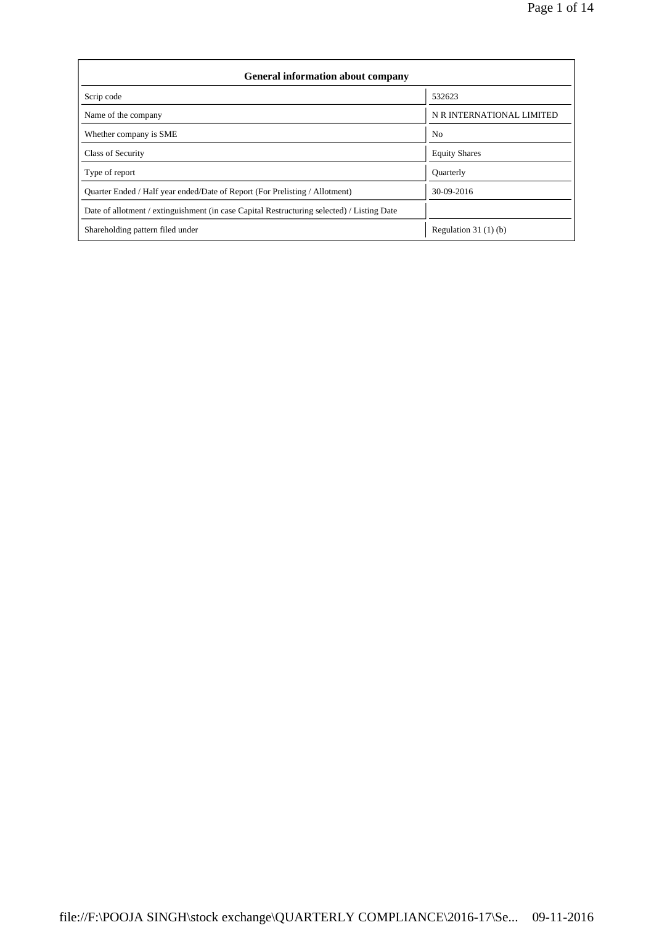| <b>General information about company</b>                                                   |                           |  |  |  |  |  |  |
|--------------------------------------------------------------------------------------------|---------------------------|--|--|--|--|--|--|
| Scrip code                                                                                 | 532623                    |  |  |  |  |  |  |
| Name of the company                                                                        | N R INTERNATIONAL LIMITED |  |  |  |  |  |  |
| Whether company is SME                                                                     | N <sub>0</sub>            |  |  |  |  |  |  |
| Class of Security                                                                          | <b>Equity Shares</b>      |  |  |  |  |  |  |
| Type of report                                                                             | <b>Ouarterly</b>          |  |  |  |  |  |  |
| Ouarter Ended / Half year ended/Date of Report (For Prelisting / Allotment)                | 30-09-2016                |  |  |  |  |  |  |
| Date of allotment / extinguishment (in case Capital Restructuring selected) / Listing Date |                           |  |  |  |  |  |  |
| Shareholding pattern filed under                                                           | Regulation 31 $(1)(b)$    |  |  |  |  |  |  |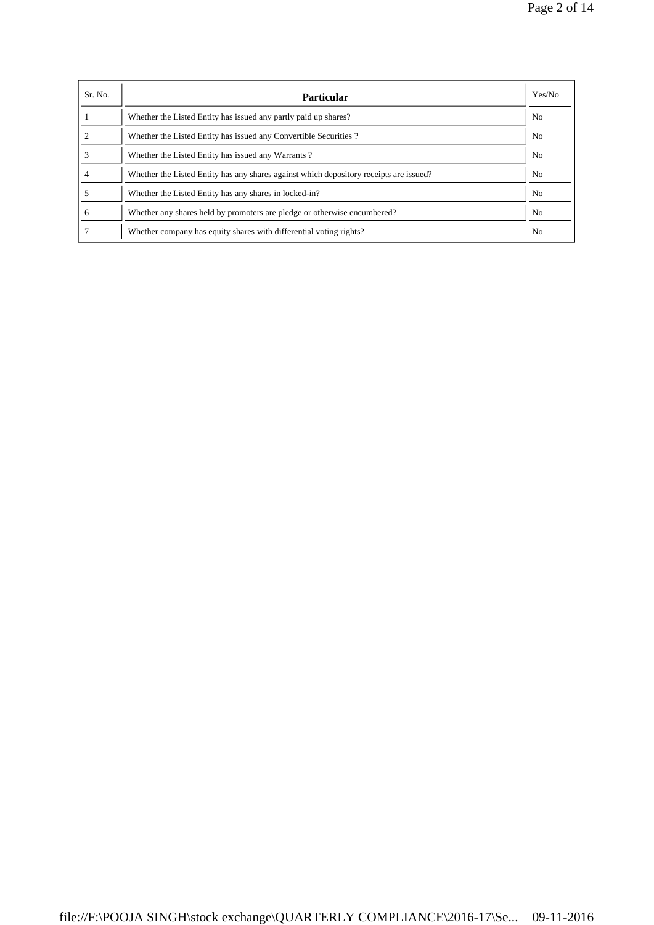| Sr. No. | <b>Particular</b>                                                                      | Yes/No         |
|---------|----------------------------------------------------------------------------------------|----------------|
|         | Whether the Listed Entity has issued any partly paid up shares?                        | N <sub>0</sub> |
|         | Whether the Listed Entity has issued any Convertible Securities?                       | N <sub>0</sub> |
|         | Whether the Listed Entity has issued any Warrants?                                     | N <sub>0</sub> |
|         | Whether the Listed Entity has any shares against which depository receipts are issued? | No.            |
|         | Whether the Listed Entity has any shares in locked-in?                                 | N <sub>0</sub> |
| 6       | Whether any shares held by promoters are pledge or otherwise encumbered?               | N <sub>0</sub> |
|         | Whether company has equity shares with differential voting rights?                     | N <sub>o</sub> |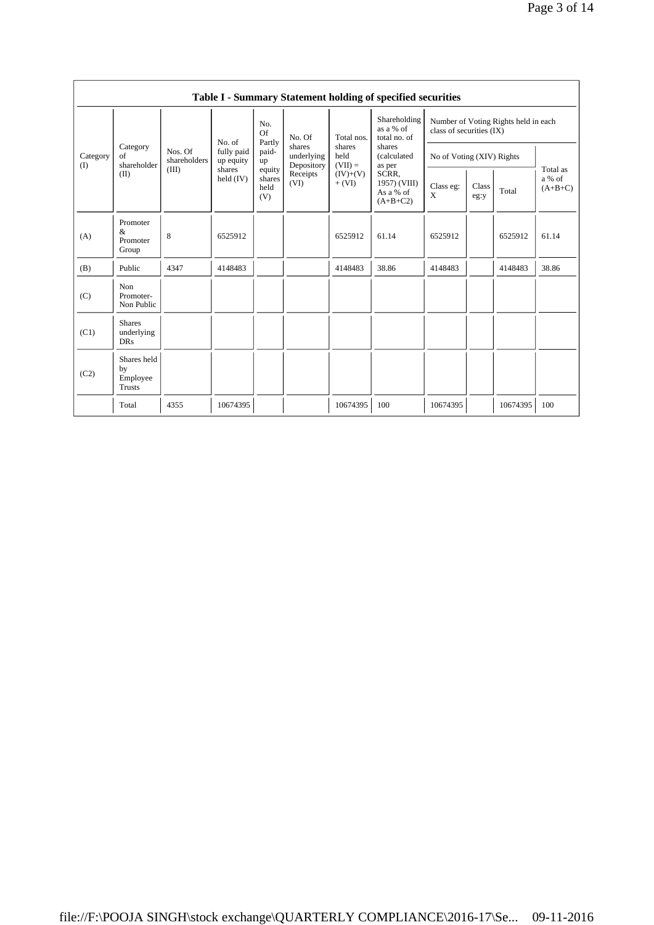|                 | Table I - Summary Statement holding of specified securities |                                  |                                                            |                                 |                                                                  |                                                                     |                                                  |                                                                    |               |          |                                 |  |  |
|-----------------|-------------------------------------------------------------|----------------------------------|------------------------------------------------------------|---------------------------------|------------------------------------------------------------------|---------------------------------------------------------------------|--------------------------------------------------|--------------------------------------------------------------------|---------------|----------|---------------------------------|--|--|
| Category<br>(I) | Category<br>of<br>shareholder<br>(II)                       | Nos. Of<br>shareholders<br>(III) | No. of<br>fully paid<br>up equity<br>shares<br>held $(IV)$ | No.<br>Of<br>Partly             | No. Of<br>shares<br>underlying<br>Depository<br>Receipts<br>(VI) | Total nos.<br>shares<br>held<br>$(VII) =$<br>$(IV)+(V)$<br>$+ (VI)$ | Shareholding<br>as a % of<br>total no. of        | Number of Voting Rights held in each<br>class of securities $(IX)$ |               |          |                                 |  |  |
|                 |                                                             |                                  |                                                            | paid-<br>up                     |                                                                  |                                                                     | shares<br>(calculated<br>as per                  | No of Voting (XIV) Rights                                          |               |          |                                 |  |  |
|                 |                                                             |                                  |                                                            | equity<br>shares<br>held<br>(V) |                                                                  |                                                                     | SCRR.<br>1957) (VIII)<br>As a % of<br>$(A+B+C2)$ | Class eg:<br>X                                                     | Class<br>eg:y | Total    | Total as<br>a % of<br>$(A+B+C)$ |  |  |
| (A)             | Promoter<br>$\&$<br>Promoter<br>Group                       | 8                                | 6525912                                                    |                                 |                                                                  | 6525912                                                             | 61.14                                            | 6525912                                                            |               | 6525912  | 61.14                           |  |  |
| (B)             | Public                                                      | 4347                             | 4148483                                                    |                                 |                                                                  | 4148483                                                             | 38.86                                            | 4148483                                                            |               | 4148483  | 38.86                           |  |  |
| (C)             | Non<br>Promoter-<br>Non Public                              |                                  |                                                            |                                 |                                                                  |                                                                     |                                                  |                                                                    |               |          |                                 |  |  |
| (C1)            | <b>Shares</b><br>underlying<br><b>DRs</b>                   |                                  |                                                            |                                 |                                                                  |                                                                     |                                                  |                                                                    |               |          |                                 |  |  |
| (C2)            | Shares held<br>by<br>Employee<br><b>Trusts</b>              |                                  |                                                            |                                 |                                                                  |                                                                     |                                                  |                                                                    |               |          |                                 |  |  |
|                 | Total                                                       | 4355                             | 10674395                                                   |                                 |                                                                  | 10674395                                                            | 100                                              | 10674395                                                           |               | 10674395 | 100                             |  |  |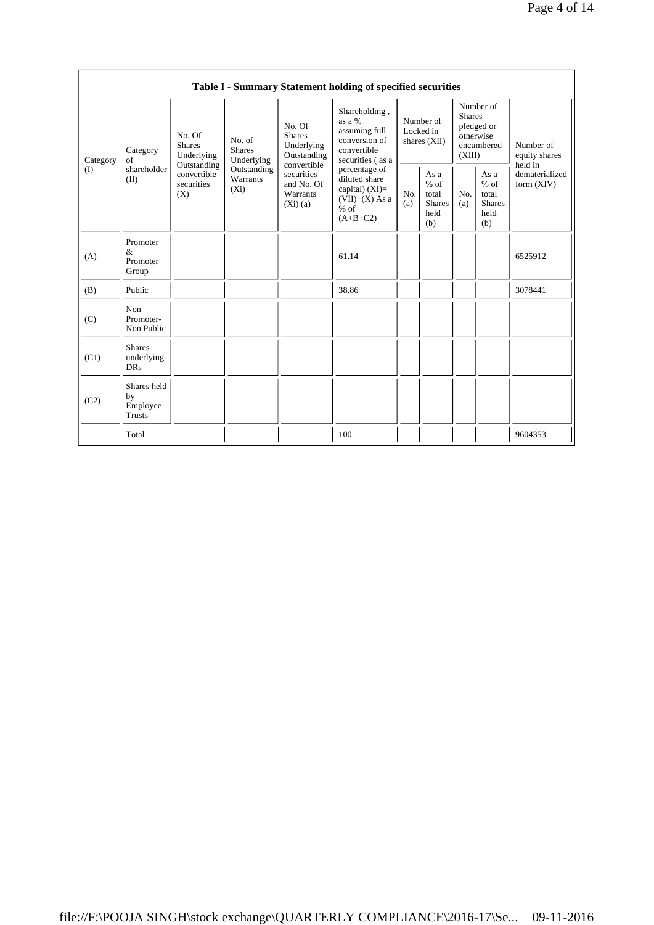|                 | Table I - Summary Statement holding of specified securities |                                                 |                                       |                                                                                                                        |                                                                                                |                                        |                                                         |                                                                               |                                                         |                                       |  |
|-----------------|-------------------------------------------------------------|-------------------------------------------------|---------------------------------------|------------------------------------------------------------------------------------------------------------------------|------------------------------------------------------------------------------------------------|----------------------------------------|---------------------------------------------------------|-------------------------------------------------------------------------------|---------------------------------------------------------|---------------------------------------|--|
| Category<br>(I) | Category<br>of<br>shareholder<br>(II)                       | No. Of<br><b>Shares</b><br>Underlying           | No. of<br><b>Shares</b><br>Underlying | No. Of<br><b>Shares</b><br>Underlying<br>Outstanding<br>convertible<br>securities<br>and No. Of<br>Warrants<br>(Xi)(a) | Shareholding,<br>as a %<br>assuming full<br>conversion of<br>convertible<br>securities (as a   | Number of<br>Locked in<br>shares (XII) |                                                         | Number of<br><b>Shares</b><br>pledged or<br>otherwise<br>encumbered<br>(XIII) |                                                         | Number of<br>equity shares<br>held in |  |
|                 |                                                             | Outstanding<br>convertible<br>securities<br>(X) | Outstanding<br>Warrants<br>$(X_i)$    |                                                                                                                        | percentage of<br>diluted share<br>capital) $(XI)=$<br>$(VII)+(X)$ As a<br>$%$ of<br>$(A+B+C2)$ | No.<br>(a)                             | As a<br>$%$ of<br>total<br><b>Shares</b><br>held<br>(b) | No.<br>(a)                                                                    | As a<br>$%$ of<br>total<br><b>Shares</b><br>held<br>(b) | dematerialized<br>form $(XIV)$        |  |
| (A)             | Promoter<br>&<br>Promoter<br>Group                          |                                                 |                                       |                                                                                                                        | 61.14                                                                                          |                                        |                                                         |                                                                               |                                                         | 6525912                               |  |
| (B)             | Public                                                      |                                                 |                                       |                                                                                                                        | 38.86                                                                                          |                                        |                                                         |                                                                               |                                                         | 3078441                               |  |
| (C)             | Non<br>Promoter-<br>Non Public                              |                                                 |                                       |                                                                                                                        |                                                                                                |                                        |                                                         |                                                                               |                                                         |                                       |  |
| (C1)            | <b>Shares</b><br>underlying<br><b>DRs</b>                   |                                                 |                                       |                                                                                                                        |                                                                                                |                                        |                                                         |                                                                               |                                                         |                                       |  |
| (C2)            | Shares held<br>by<br>Employee<br>Trusts                     |                                                 |                                       |                                                                                                                        |                                                                                                |                                        |                                                         |                                                                               |                                                         |                                       |  |
|                 | Total                                                       |                                                 |                                       |                                                                                                                        | 100                                                                                            |                                        |                                                         |                                                                               |                                                         | 9604353                               |  |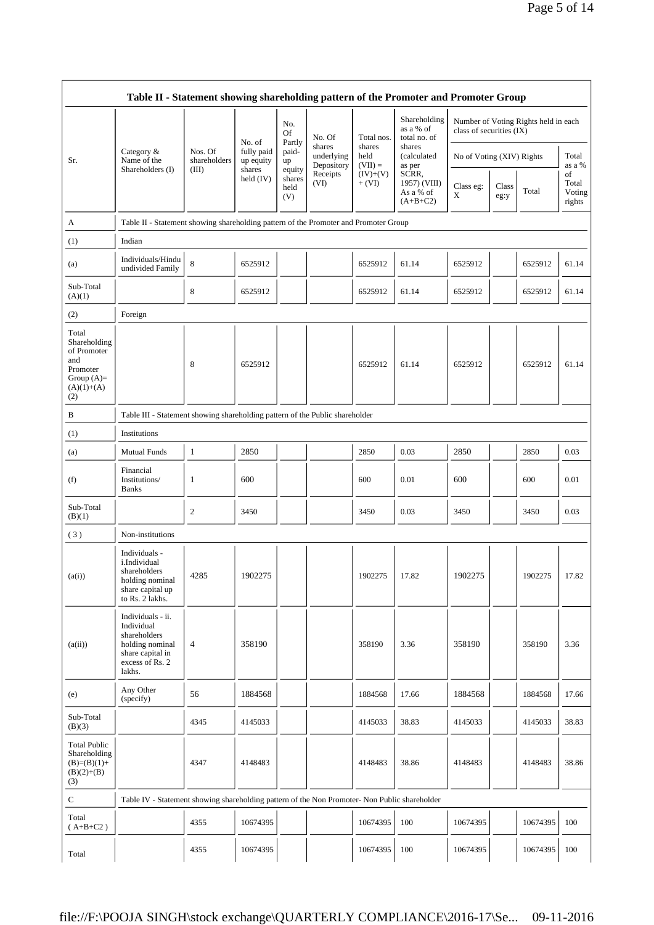|                                                                                                | Table II - Statement showing shareholding pattern of the Promoter and Promoter Group                                |                         |                         |                                 |                          |                        |                                                     |                           |               |                                      |                                                    |
|------------------------------------------------------------------------------------------------|---------------------------------------------------------------------------------------------------------------------|-------------------------|-------------------------|---------------------------------|--------------------------|------------------------|-----------------------------------------------------|---------------------------|---------------|--------------------------------------|----------------------------------------------------|
|                                                                                                |                                                                                                                     |                         | No. of                  | No.<br>Of<br>Partly             | No. Of<br>shares         | Total nos.<br>shares   | Shareholding<br>as a % of<br>total no. of<br>shares | class of securities (IX)  |               | Number of Voting Rights held in each |                                                    |
| Sr.                                                                                            | Category &<br>Name of the                                                                                           | Nos. Of<br>shareholders | fully paid<br>up equity | paid-<br>up                     | underlying<br>Depository | held<br>$(VII) =$      | (calculated<br>as per                               | No of Voting (XIV) Rights |               |                                      | Total<br>as a %<br>of<br>Total<br>Voting<br>rights |
|                                                                                                | Shareholders (I)                                                                                                    | (III)                   | shares<br>held $(IV)$   | equity<br>shares<br>held<br>(V) | Receipts<br>(VI)         | $(IV)+(V)$<br>$+ (VI)$ | SCRR,<br>1957) (VIII)<br>As a % of<br>$(A+B+C2)$    | Class eg:<br>X            | Class<br>eg:y | Total                                |                                                    |
| А                                                                                              | Table II - Statement showing shareholding pattern of the Promoter and Promoter Group                                |                         |                         |                                 |                          |                        |                                                     |                           |               |                                      |                                                    |
| (1)                                                                                            | Indian                                                                                                              |                         |                         |                                 |                          |                        |                                                     |                           |               |                                      |                                                    |
| (a)                                                                                            | Individuals/Hindu<br>undivided Family                                                                               | 8                       | 6525912                 |                                 |                          | 6525912                | 61.14                                               | 6525912                   |               | 6525912                              | 61.14                                              |
| Sub-Total<br>(A)(1)                                                                            |                                                                                                                     | 8                       | 6525912                 |                                 |                          | 6525912                | 61.14                                               | 6525912                   |               | 6525912                              | 61.14                                              |
| (2)                                                                                            | Foreign                                                                                                             |                         |                         |                                 |                          |                        |                                                     |                           |               |                                      |                                                    |
| Total<br>Shareholding<br>of Promoter<br>and<br>Promoter<br>Group $(A)=$<br>$(A)(1)+(A)$<br>(2) |                                                                                                                     | 8                       | 6525912                 |                                 |                          | 6525912                | 61.14                                               | 6525912                   |               | 6525912                              | 61.14                                              |
| B                                                                                              | Table III - Statement showing shareholding pattern of the Public shareholder                                        |                         |                         |                                 |                          |                        |                                                     |                           |               |                                      |                                                    |
| (1)                                                                                            | Institutions                                                                                                        |                         |                         |                                 |                          |                        |                                                     |                           |               |                                      |                                                    |
| (a)                                                                                            | <b>Mutual Funds</b>                                                                                                 | 1                       | 2850                    |                                 |                          | 2850                   | 0.03                                                | 2850                      |               | 2850                                 | 0.03                                               |
| (f)                                                                                            | Financial<br>Institutions/<br><b>Banks</b>                                                                          | 1                       | 600                     |                                 |                          | 600                    | 0.01                                                | 600                       |               | 600                                  | 0.01                                               |
| Sub-Total<br>(B)(1)                                                                            |                                                                                                                     | 2                       | 3450                    |                                 |                          | 3450                   | 0.03                                                | 3450                      |               | 3450                                 | 0.03                                               |
| (3)                                                                                            | Non-institutions                                                                                                    |                         |                         |                                 |                          |                        |                                                     |                           |               |                                      |                                                    |
| (a(i))                                                                                         | Individuals -<br>i.Individual<br>shareholders<br>holding nominal<br>share capital up<br>to Rs. 2 lakhs.             | 4285                    | 1902275                 |                                 |                          | 1902275                | 17.82                                               | 1902275                   |               | 1902275                              | 17.82                                              |
| (a(ii))                                                                                        | Individuals - ii.<br>Individual<br>shareholders<br>holding nominal<br>share capital in<br>excess of Rs. 2<br>lakhs. | $\overline{4}$          | 358190                  |                                 |                          | 358190                 | 3.36                                                | 358190                    |               | 358190                               | 3.36                                               |
| (e)                                                                                            | Any Other<br>(specify)                                                                                              | 56                      | 1884568                 |                                 |                          | 1884568                | 17.66                                               | 1884568                   |               | 1884568                              | 17.66                                              |
| Sub-Total<br>(B)(3)                                                                            |                                                                                                                     | 4345                    | 4145033                 |                                 |                          | 4145033                | 38.83                                               | 4145033                   |               | 4145033                              | 38.83                                              |
| <b>Total Public</b><br>Shareholding<br>$(B)=(B)(1)+$<br>$(B)(2)+(B)$<br>(3)                    |                                                                                                                     | 4347                    | 4148483                 |                                 |                          | 4148483                | 38.86                                               | 4148483                   |               | 4148483                              | 38.86                                              |
| ${\bf C}$                                                                                      | Table IV - Statement showing shareholding pattern of the Non Promoter- Non Public shareholder                       |                         |                         |                                 |                          |                        |                                                     |                           |               |                                      |                                                    |
| Total<br>$(A+B+C2)$                                                                            |                                                                                                                     | 4355                    | 10674395                |                                 |                          | 10674395               | 100                                                 | 10674395                  |               | 10674395                             | 100                                                |
| Total                                                                                          |                                                                                                                     | 4355                    | 10674395                |                                 |                          | 10674395               | 100                                                 | 10674395                  |               | 10674395                             | 100                                                |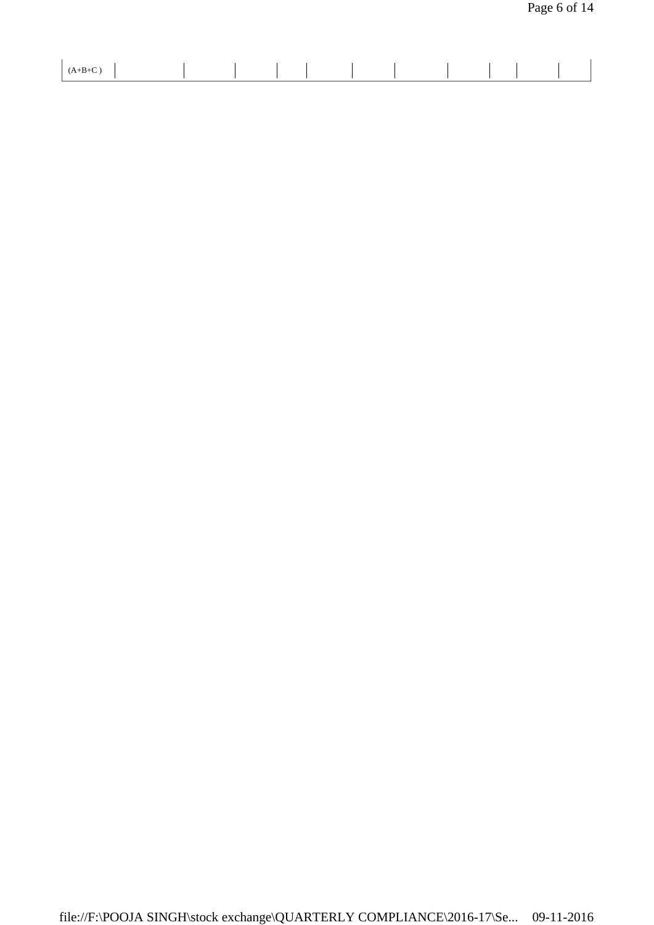| -<br>$\cdot$ D $\cdot$ C $\cdot$ |  |  |  |  |
|----------------------------------|--|--|--|--|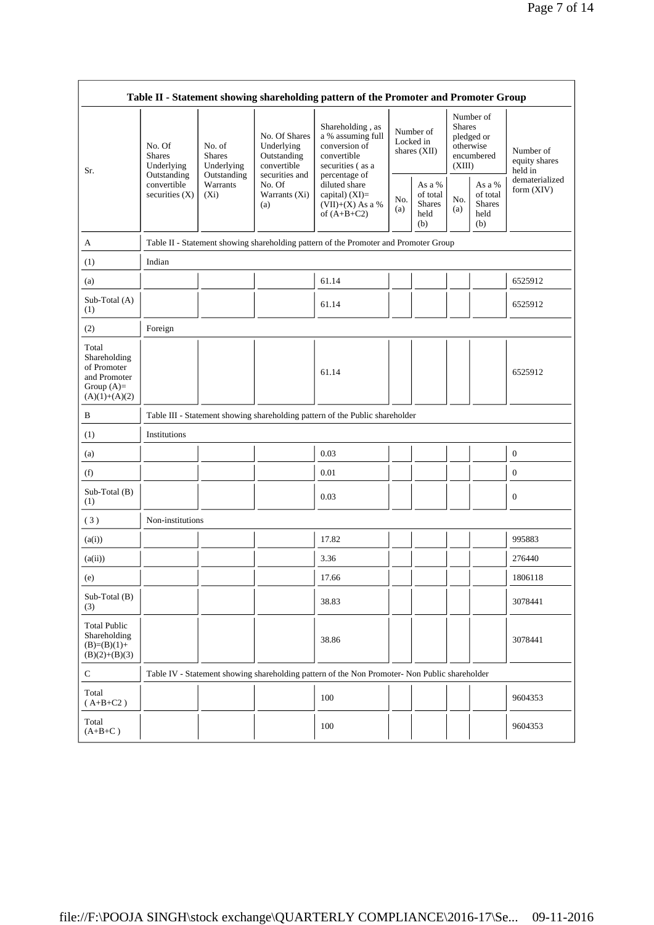| Table II - Statement showing shareholding pattern of the Promoter and Promoter Group    |                                                      |                                                                             |                                                                                                               |                                                                                                                                                                                         |            |                                                    |                                                                               |                                                    |                                       |  |
|-----------------------------------------------------------------------------------------|------------------------------------------------------|-----------------------------------------------------------------------------|---------------------------------------------------------------------------------------------------------------|-----------------------------------------------------------------------------------------------------------------------------------------------------------------------------------------|------------|----------------------------------------------------|-------------------------------------------------------------------------------|----------------------------------------------------|---------------------------------------|--|
| Sr.                                                                                     | No. Of<br><b>Shares</b><br>Underlying<br>Outstanding | No. of<br><b>Shares</b><br>Underlying<br>Outstanding<br>Warrants<br>$(X_i)$ | No. Of Shares<br>Underlying<br>Outstanding<br>convertible<br>securities and<br>No. Of<br>Warrants (Xi)<br>(a) | Shareholding, as<br>a % assuming full<br>conversion of<br>convertible<br>securities (as a<br>percentage of<br>diluted share<br>capital) $(XI)$ =<br>$(VII)+(X)$ As a %<br>of $(A+B+C2)$ |            | Number of<br>Locked in<br>shares $(XII)$           | Number of<br><b>Shares</b><br>pledged or<br>otherwise<br>encumbered<br>(XIII) |                                                    | Number of<br>equity shares<br>held in |  |
|                                                                                         | convertible<br>securities $(X)$                      |                                                                             |                                                                                                               |                                                                                                                                                                                         | No.<br>(a) | As a %<br>of total<br><b>Shares</b><br>held<br>(b) | No.<br>(a)                                                                    | As a %<br>of total<br><b>Shares</b><br>held<br>(b) | dematerialized<br>form (XIV)          |  |
| A                                                                                       |                                                      |                                                                             |                                                                                                               | Table II - Statement showing shareholding pattern of the Promoter and Promoter Group                                                                                                    |            |                                                    |                                                                               |                                                    |                                       |  |
| (1)                                                                                     | Indian                                               |                                                                             |                                                                                                               |                                                                                                                                                                                         |            |                                                    |                                                                               |                                                    |                                       |  |
| (a)                                                                                     |                                                      |                                                                             |                                                                                                               | 61.14                                                                                                                                                                                   |            |                                                    |                                                                               |                                                    | 6525912                               |  |
| Sub-Total (A)<br>(1)                                                                    |                                                      |                                                                             |                                                                                                               | 61.14                                                                                                                                                                                   |            |                                                    |                                                                               |                                                    | 6525912                               |  |
| (2)                                                                                     | Foreign                                              |                                                                             |                                                                                                               |                                                                                                                                                                                         |            |                                                    |                                                                               |                                                    |                                       |  |
| Total<br>Shareholding<br>of Promoter<br>and Promoter<br>Group $(A)=$<br>$(A)(1)+(A)(2)$ |                                                      |                                                                             |                                                                                                               | 61.14                                                                                                                                                                                   |            |                                                    |                                                                               |                                                    | 6525912                               |  |
| B                                                                                       |                                                      |                                                                             |                                                                                                               | Table III - Statement showing shareholding pattern of the Public shareholder                                                                                                            |            |                                                    |                                                                               |                                                    |                                       |  |
| (1)                                                                                     | Institutions                                         |                                                                             |                                                                                                               |                                                                                                                                                                                         |            |                                                    |                                                                               |                                                    |                                       |  |
| (a)                                                                                     |                                                      |                                                                             |                                                                                                               | 0.03                                                                                                                                                                                    |            |                                                    |                                                                               |                                                    | $\mathbf{0}$                          |  |
| (f)                                                                                     |                                                      |                                                                             |                                                                                                               | 0.01                                                                                                                                                                                    |            |                                                    |                                                                               |                                                    | $\mathbf{0}$                          |  |
| Sub-Total (B)<br>(1)                                                                    |                                                      |                                                                             |                                                                                                               | 0.03                                                                                                                                                                                    |            |                                                    |                                                                               |                                                    | $\mathbf{0}$                          |  |
| (3)                                                                                     | Non-institutions                                     |                                                                             |                                                                                                               |                                                                                                                                                                                         |            |                                                    |                                                                               |                                                    |                                       |  |
| (a(i))                                                                                  |                                                      |                                                                             |                                                                                                               | 17.82                                                                                                                                                                                   |            |                                                    |                                                                               |                                                    | 995883                                |  |
| (a(ii))                                                                                 |                                                      |                                                                             |                                                                                                               | 3.36                                                                                                                                                                                    |            |                                                    |                                                                               |                                                    | 276440                                |  |
| (e)                                                                                     |                                                      |                                                                             |                                                                                                               | 17.66                                                                                                                                                                                   |            |                                                    |                                                                               |                                                    | 1806118                               |  |
| Sub-Total (B)<br>(3)                                                                    |                                                      |                                                                             |                                                                                                               | 38.83                                                                                                                                                                                   |            |                                                    |                                                                               |                                                    | 3078441                               |  |
| <b>Total Public</b><br>Shareholding<br>$(B)=(B)(1)+$<br>$(B)(2)+(B)(3)$                 |                                                      |                                                                             |                                                                                                               | 38.86                                                                                                                                                                                   |            |                                                    |                                                                               |                                                    | 3078441                               |  |
| $\mathbf C$                                                                             |                                                      |                                                                             |                                                                                                               | Table IV - Statement showing shareholding pattern of the Non Promoter- Non Public shareholder                                                                                           |            |                                                    |                                                                               |                                                    |                                       |  |
| Total<br>$(A+B+C2)$                                                                     |                                                      |                                                                             |                                                                                                               | 100                                                                                                                                                                                     |            |                                                    |                                                                               |                                                    | 9604353                               |  |
| Total<br>$(A+B+C)$                                                                      |                                                      |                                                                             |                                                                                                               | 100                                                                                                                                                                                     |            |                                                    |                                                                               |                                                    | 9604353                               |  |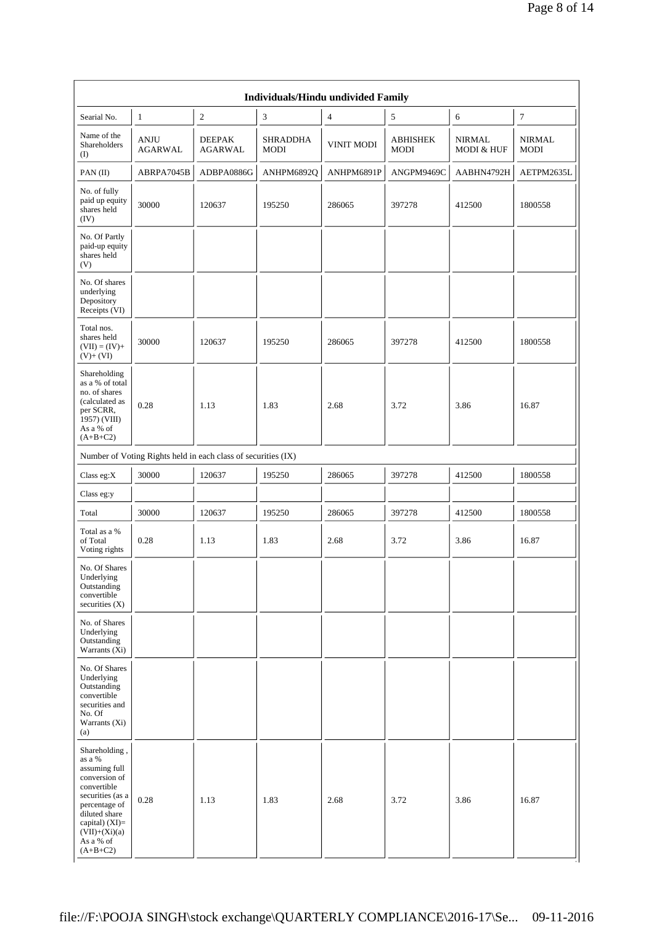| Individuals/Hindu undivided Family                                                                                                                                                               |                               |                                                               |                                |                   |                                |                             |                              |  |  |  |  |
|--------------------------------------------------------------------------------------------------------------------------------------------------------------------------------------------------|-------------------------------|---------------------------------------------------------------|--------------------------------|-------------------|--------------------------------|-----------------------------|------------------------------|--|--|--|--|
| Searial No.                                                                                                                                                                                      | $\mathbf{1}$                  | $\overline{2}$                                                | 3                              | $\overline{4}$    | 5                              | 6                           | $7\phantom{.0}$              |  |  |  |  |
| Name of the<br>Shareholders<br>(I)                                                                                                                                                               | <b>ANJU</b><br><b>AGARWAL</b> | <b>DEEPAK</b><br><b>AGARWAL</b>                               | <b>SHRADDHA</b><br><b>MODI</b> | <b>VINIT MODI</b> | <b>ABHISHEK</b><br><b>MODI</b> | <b>NIRMAL</b><br>MODI & HUF | <b>NIRMAL</b><br><b>MODI</b> |  |  |  |  |
| PAN (II)                                                                                                                                                                                         | ABRPA7045B                    | ADBPA0886G                                                    | ANHPM6892Q                     | ANHPM6891P        | ANGPM9469C                     | AABHN4792H                  | AETPM2635L                   |  |  |  |  |
| No. of fully<br>paid up equity<br>shares held<br>(IV)                                                                                                                                            | 30000                         | 120637                                                        | 195250                         | 286065            | 397278                         | 412500                      | 1800558                      |  |  |  |  |
| No. Of Partly<br>paid-up equity<br>shares held<br>(V)                                                                                                                                            |                               |                                                               |                                |                   |                                |                             |                              |  |  |  |  |
| No. Of shares<br>underlying<br>Depository<br>Receipts (VI)                                                                                                                                       |                               |                                                               |                                |                   |                                |                             |                              |  |  |  |  |
| Total nos.<br>shares held<br>$(VII) = (IV) +$<br>$(V)+(VI)$                                                                                                                                      | 30000                         | 120637                                                        | 195250                         | 286065            | 397278                         | 412500                      | 1800558                      |  |  |  |  |
| Shareholding<br>as a % of total<br>no. of shares<br>(calculated as<br>per SCRR,<br>1957) (VIII)<br>As a % of<br>$(A+B+C2)$                                                                       | 0.28                          | 1.13                                                          | 1.83                           | 2.68              | 3.72                           | 3.86                        | 16.87                        |  |  |  |  |
|                                                                                                                                                                                                  |                               | Number of Voting Rights held in each class of securities (IX) |                                |                   |                                |                             |                              |  |  |  |  |
| Class eg:X                                                                                                                                                                                       | 30000                         | 120637                                                        | 195250                         | 286065            | 397278                         | 412500                      | 1800558                      |  |  |  |  |
| Class eg:y                                                                                                                                                                                       |                               |                                                               |                                |                   |                                |                             |                              |  |  |  |  |
| Total                                                                                                                                                                                            | 30000                         | 120637                                                        | 195250                         | 286065            | 397278                         | 412500                      | 1800558                      |  |  |  |  |
| Total as a %<br>of Total<br>Voting rights                                                                                                                                                        | 0.28                          | 1.13                                                          | 1.83                           | 2.68              | 3.72                           | 3.86                        | 16.87                        |  |  |  |  |
| No. Of Shares<br>Underlying<br>Outstanding<br>convertible<br>securities $(X)$                                                                                                                    |                               |                                                               |                                |                   |                                |                             |                              |  |  |  |  |
| No. of Shares<br>Underlying<br>Outstanding<br>Warrants (Xi)                                                                                                                                      |                               |                                                               |                                |                   |                                |                             |                              |  |  |  |  |
| No. Of Shares<br>Underlying<br>Outstanding<br>convertible<br>securities and<br>No. Of<br>Warrants (Xi)<br>(a)                                                                                    |                               |                                                               |                                |                   |                                |                             |                              |  |  |  |  |
| Shareholding,<br>as a %<br>assuming full<br>conversion of<br>convertible<br>securities (as a<br>percentage of<br>diluted share<br>capital) $(XI)=$<br>$(VII)+(Xi)(a)$<br>As a % of<br>$(A+B+C2)$ | 0.28                          | 1.13                                                          | 1.83                           | 2.68              | 3.72                           | 3.86                        | 16.87                        |  |  |  |  |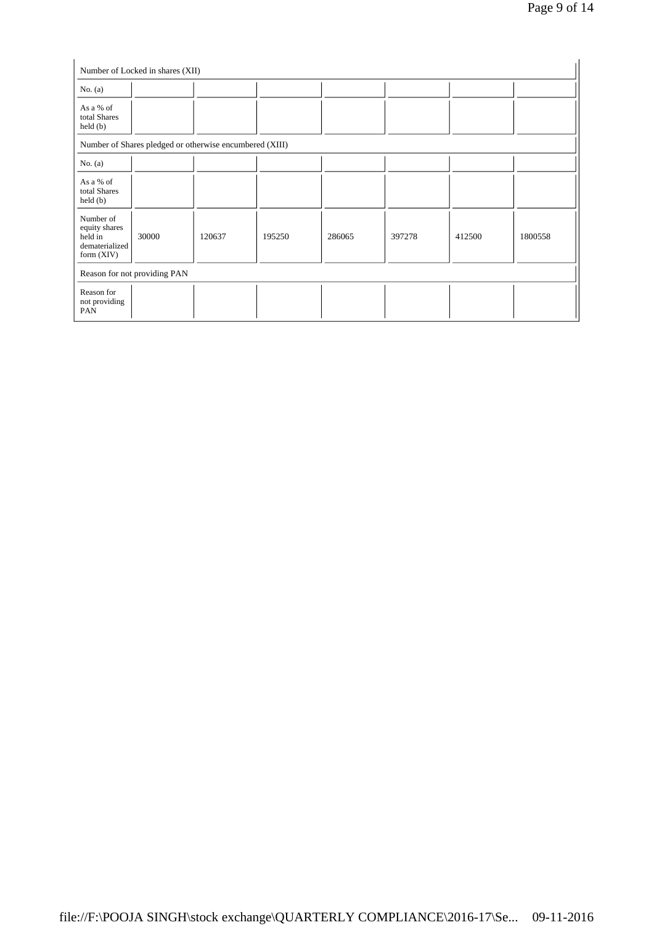| No. $(a)$                                                               |                              |                                                         |        |        |        |        |         |
|-------------------------------------------------------------------------|------------------------------|---------------------------------------------------------|--------|--------|--------|--------|---------|
| As a % of<br>total Shares<br>$\text{held}(\text{b})$                    |                              |                                                         |        |        |        |        |         |
|                                                                         |                              | Number of Shares pledged or otherwise encumbered (XIII) |        |        |        |        |         |
| No. $(a)$                                                               |                              |                                                         |        |        |        |        |         |
| As a % of<br>total Shares<br>held (b)                                   |                              |                                                         |        |        |        |        |         |
| Number of<br>equity shares<br>held in<br>dematerialized<br>form $(XIV)$ | 30000                        | 120637                                                  | 195250 | 286065 | 397278 | 412500 | 1800558 |
|                                                                         | Reason for not providing PAN |                                                         |        |        |        |        |         |
| Reason for<br>not providing<br>PAN                                      |                              |                                                         |        |        |        |        |         |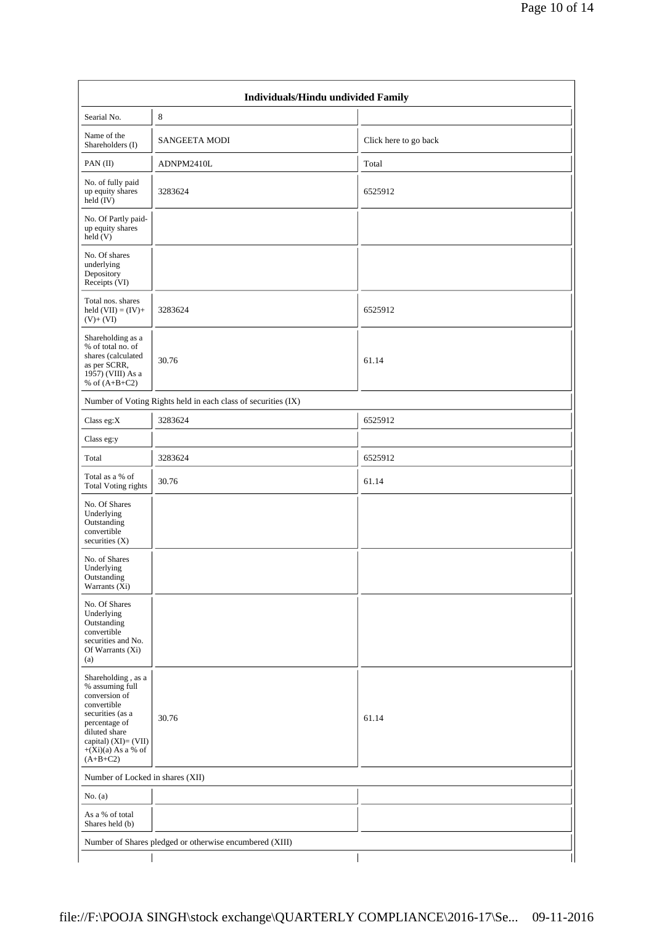| Individuals/Hindu undivided Family                                                                                                                                                        |                                                               |                       |  |  |  |  |  |  |
|-------------------------------------------------------------------------------------------------------------------------------------------------------------------------------------------|---------------------------------------------------------------|-----------------------|--|--|--|--|--|--|
| Searial No.                                                                                                                                                                               | 8                                                             |                       |  |  |  |  |  |  |
| Name of the<br>Shareholders (I)                                                                                                                                                           | <b>SANGEETA MODI</b>                                          | Click here to go back |  |  |  |  |  |  |
| PAN(II)                                                                                                                                                                                   | ADNPM2410L                                                    | Total                 |  |  |  |  |  |  |
| No. of fully paid<br>up equity shares<br>held $(V)$                                                                                                                                       | 3283624                                                       | 6525912               |  |  |  |  |  |  |
| No. Of Partly paid-<br>up equity shares<br>held(V)                                                                                                                                        |                                                               |                       |  |  |  |  |  |  |
| No. Of shares<br>underlying<br>Depository<br>Receipts (VI)                                                                                                                                |                                                               |                       |  |  |  |  |  |  |
| Total nos. shares<br>held $(VII) = (IV) +$<br>$(V)+(VI)$                                                                                                                                  | 3283624                                                       | 6525912               |  |  |  |  |  |  |
| Shareholding as a<br>% of total no. of<br>shares (calculated<br>as per SCRR,<br>1957) (VIII) As a<br>% of $(A+B+C2)$                                                                      | 30.76                                                         | 61.14                 |  |  |  |  |  |  |
|                                                                                                                                                                                           | Number of Voting Rights held in each class of securities (IX) |                       |  |  |  |  |  |  |
| Class eg:X                                                                                                                                                                                | 3283624                                                       | 6525912               |  |  |  |  |  |  |
| Class eg:y                                                                                                                                                                                |                                                               |                       |  |  |  |  |  |  |
| Total                                                                                                                                                                                     | 3283624                                                       | 6525912               |  |  |  |  |  |  |
| Total as a % of<br><b>Total Voting rights</b>                                                                                                                                             | 30.76                                                         | 61.14                 |  |  |  |  |  |  |
| No. Of Shares<br>Underlying<br>Outstanding<br>convertible<br>securities $(X)$                                                                                                             |                                                               |                       |  |  |  |  |  |  |
| No. of Shares<br>Underlying<br>Outstanding<br>Warrants (Xi)                                                                                                                               |                                                               |                       |  |  |  |  |  |  |
| No. Of Shares<br>Underlying<br>Outstanding<br>convertible<br>securities and No.<br>Of Warrants (Xi)<br>(a)                                                                                |                                                               |                       |  |  |  |  |  |  |
| Shareholding, as a<br>% assuming full<br>conversion of<br>convertible<br>securities (as a<br>percentage of<br>diluted share<br>capital) (XI)= (VII)<br>$+(Xi)(a)$ As a % of<br>$(A+B+C2)$ | 30.76                                                         | 61.14                 |  |  |  |  |  |  |
| Number of Locked in shares (XII)                                                                                                                                                          |                                                               |                       |  |  |  |  |  |  |
| No. $(a)$                                                                                                                                                                                 |                                                               |                       |  |  |  |  |  |  |
| As a % of total<br>Shares held (b)                                                                                                                                                        |                                                               |                       |  |  |  |  |  |  |
|                                                                                                                                                                                           | Number of Shares pledged or otherwise encumbered (XIII)       |                       |  |  |  |  |  |  |
|                                                                                                                                                                                           |                                                               |                       |  |  |  |  |  |  |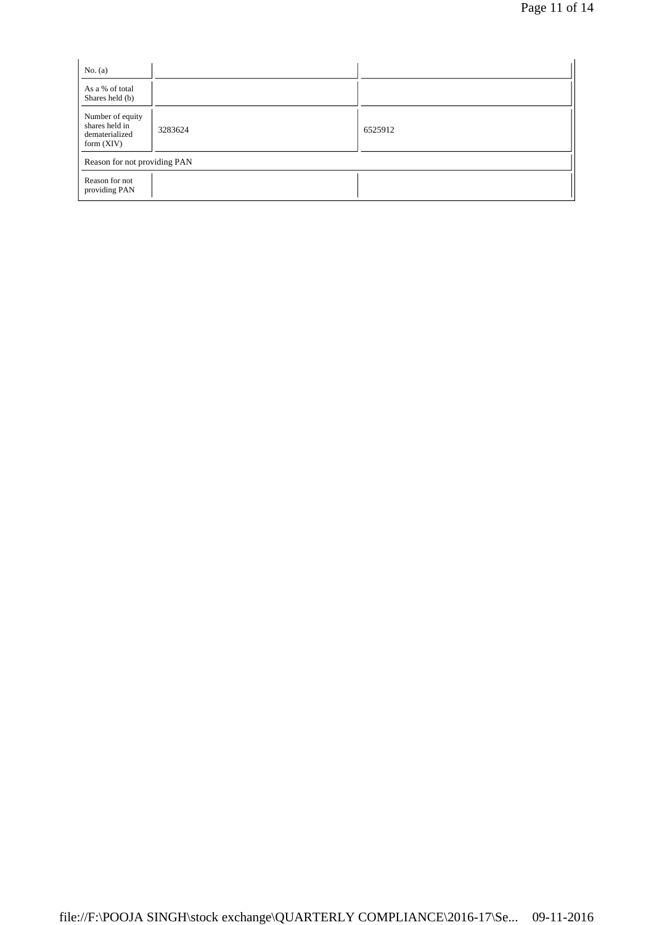| No. $(a)$                                                            |         |         |  |
|----------------------------------------------------------------------|---------|---------|--|
| As a % of total<br>Shares held (b)                                   |         |         |  |
| Number of equity<br>shares held in<br>dematerialized<br>form $(XIV)$ | 3283624 | 6525912 |  |
| Reason for not providing PAN                                         |         |         |  |
| Reason for not<br>providing PAN                                      |         |         |  |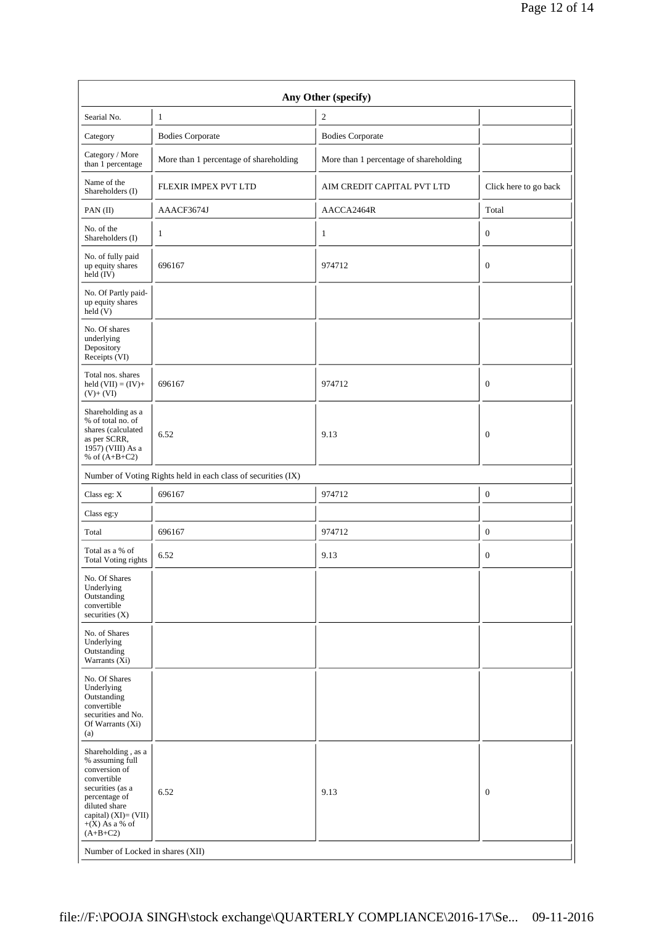| Any Other (specify)                                                                                                                                                                      |                                                               |                                        |                       |  |  |  |  |  |  |
|------------------------------------------------------------------------------------------------------------------------------------------------------------------------------------------|---------------------------------------------------------------|----------------------------------------|-----------------------|--|--|--|--|--|--|
| Searial No.                                                                                                                                                                              | $\mathbf{1}$                                                  | $\mathfrak{2}$                         |                       |  |  |  |  |  |  |
| Category                                                                                                                                                                                 | <b>Bodies Corporate</b>                                       | <b>Bodies Corporate</b>                |                       |  |  |  |  |  |  |
| Category / More<br>than 1 percentage                                                                                                                                                     | More than 1 percentage of shareholding                        | More than 1 percentage of shareholding |                       |  |  |  |  |  |  |
| Name of the<br>Shareholders (I)                                                                                                                                                          | FLEXIR IMPEX PVT LTD                                          | AIM CREDIT CAPITAL PVT LTD             | Click here to go back |  |  |  |  |  |  |
| PAN(II)                                                                                                                                                                                  | AAACF3674J                                                    | AACCA2464R                             | Total                 |  |  |  |  |  |  |
| No. of the<br>Shareholders (I)                                                                                                                                                           | $\mathbf{1}$                                                  | 1                                      | $\mathbf{0}$          |  |  |  |  |  |  |
| No. of fully paid<br>up equity shares<br>held (IV)                                                                                                                                       | 696167                                                        | 974712                                 | $\boldsymbol{0}$      |  |  |  |  |  |  |
| No. Of Partly paid-<br>up equity shares<br>held(V)                                                                                                                                       |                                                               |                                        |                       |  |  |  |  |  |  |
| No. Of shares<br>underlying<br>Depository<br>Receipts (VI)                                                                                                                               |                                                               |                                        |                       |  |  |  |  |  |  |
| Total nos. shares<br>held $(VII) = (IV) +$<br>$(V)+(VI)$                                                                                                                                 | 696167                                                        | 974712                                 | $\mathbf{0}$          |  |  |  |  |  |  |
| Shareholding as a<br>% of total no. of<br>shares (calculated<br>as per SCRR,<br>1957) (VIII) As a<br>% of $(A+B+C2)$                                                                     | 6.52                                                          | 9.13                                   | $\mathbf{0}$          |  |  |  |  |  |  |
|                                                                                                                                                                                          | Number of Voting Rights held in each class of securities (IX) |                                        |                       |  |  |  |  |  |  |
| Class eg: X                                                                                                                                                                              | 696167                                                        | 974712                                 | $\boldsymbol{0}$      |  |  |  |  |  |  |
| Class eg:y                                                                                                                                                                               |                                                               |                                        |                       |  |  |  |  |  |  |
| Total                                                                                                                                                                                    | 696167                                                        | 974712                                 | $\mathbf{0}$          |  |  |  |  |  |  |
| Total as a % of<br><b>Total Voting rights</b>                                                                                                                                            | 6.52                                                          | 9.13                                   | $\mathbf{0}$          |  |  |  |  |  |  |
| No. Of Shares<br>Underlying<br>Outstanding<br>convertible<br>securities $(X)$                                                                                                            |                                                               |                                        |                       |  |  |  |  |  |  |
| No. of Shares<br>Underlying<br>Outstanding<br>Warrants (Xi)                                                                                                                              |                                                               |                                        |                       |  |  |  |  |  |  |
| No. Of Shares<br>Underlying<br>Outstanding<br>convertible<br>securities and No.<br>Of Warrants (Xi)<br>(a)                                                                               |                                                               |                                        |                       |  |  |  |  |  |  |
| Shareholding, as a<br>% assuming full<br>conversion of<br>convertible<br>securities (as a<br>percentage of<br>diluted share<br>capital) $(XI) = (VII)$<br>$+(X)$ As a % of<br>$(A+B+C2)$ | 6.52                                                          | 9.13                                   | $\boldsymbol{0}$      |  |  |  |  |  |  |
|                                                                                                                                                                                          | Number of Locked in shares (XII)                              |                                        |                       |  |  |  |  |  |  |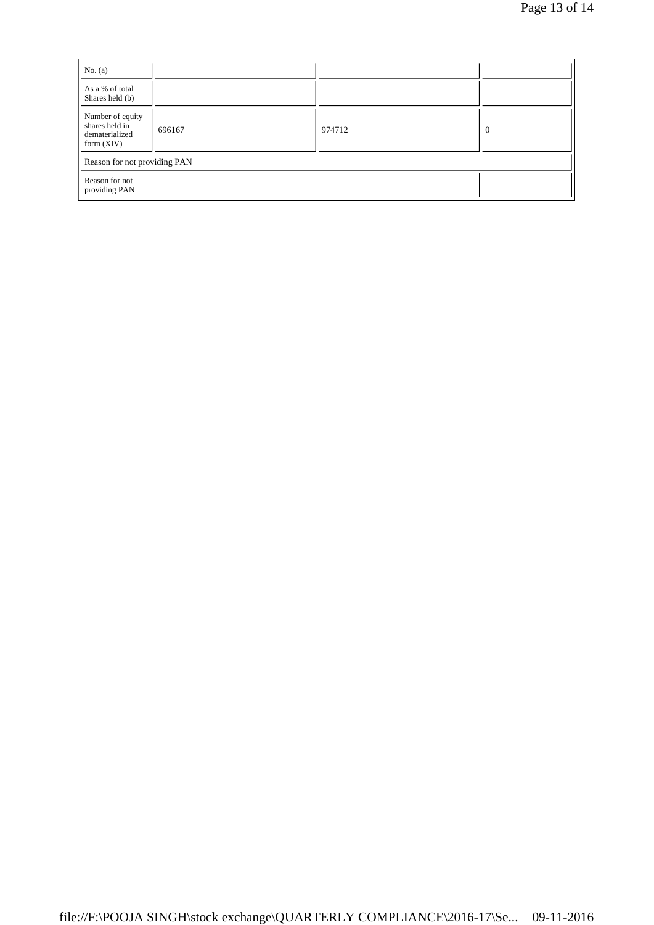| No. $(a)$                                                            |        |        |                |
|----------------------------------------------------------------------|--------|--------|----------------|
| As a % of total<br>Shares held (b)                                   |        |        |                |
| Number of equity<br>shares held in<br>dematerialized<br>form $(XIV)$ | 696167 | 974712 | $\overline{0}$ |
| Reason for not providing PAN                                         |        |        |                |
| Reason for not<br>providing PAN                                      |        |        |                |